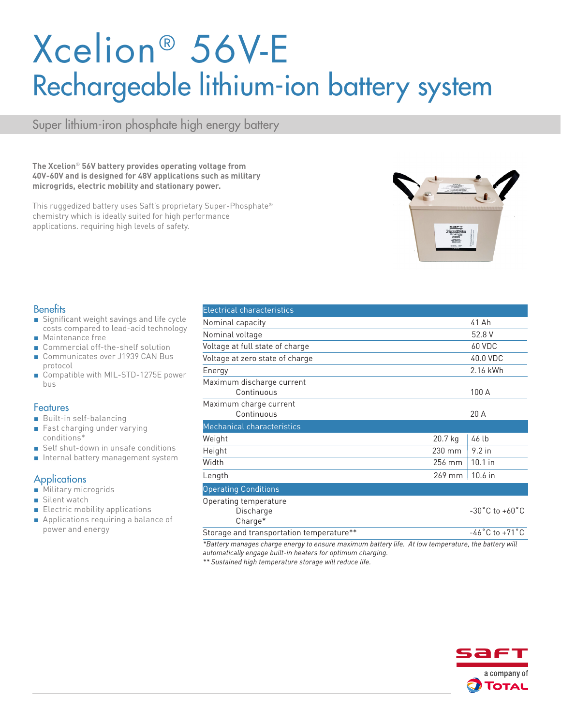# Xcelion® 56V-E Rechargeable lithium-ion battery system

Super lithium-iron phosphate high energy battery

**The Xcelion**® **56V battery provides operating voltage from 40V-60V and is designed for 48V applications such as military microgrids, electric mobility and stationary power.** 

This ruggedized battery uses Saft's proprietary Super-Phosphate® chemistry which is ideally suited for high performance applications. requiring high levels of safety.



### **Benefits**

- Significant weight savings and life cycle costs compared to lead-acid technology
- Maintenance free
- Commercial off-the-shelf solution
- Communicates over J1939 CAN Bus protocol
- Compatible with MIL-STD-1275E power bus

#### **Features**

- Built-in self-balancing
- Fast charging under varying conditions\*
- Self shut-down in unsafe conditions
- Internal battery management system

### **Applications**

- Military microgrids
- Silent watch
- Electric mobility applications
- Applications requiring a balance of power and energy

| <b>Electrical characteristics</b>             |         |                                    |
|-----------------------------------------------|---------|------------------------------------|
| Nominal capacity                              |         | 41 Ah                              |
| Nominal voltage                               |         | 52.8 V                             |
| Voltage at full state of charge               |         | 60 VDC                             |
| Voltage at zero state of charge               |         | 40.0 VDC                           |
| Energy                                        |         | 2.16 kWh                           |
| Maximum discharge current<br>Continuous       |         | 100 A                              |
| Maximum charge current<br>Continuous          |         | 20A                                |
| Mechanical characteristics                    |         |                                    |
| Weight                                        | 20.7 kg | 46 lb                              |
| Height                                        | 230 mm  | $9.2$ in                           |
| Width                                         | 256 mm  | $10.1$ in                          |
| Length                                        | 269 mm  | 10.6 in                            |
| <b>Operating Conditions</b>                   |         |                                    |
| Operating temperature<br>Discharge<br>Charge* |         | $-30^{\circ}$ C to $+60^{\circ}$ C |
| Storage and transportation temperature**      |         | $-46^{\circ}$ C to $+71^{\circ}$ C |

*\*Battery manages charge energy to ensure maximum battery life. At low temperature, the battery will automatically engage built-in heaters for optimum charging.*

*\*\* Sustained high temperature storage will reduce life.*